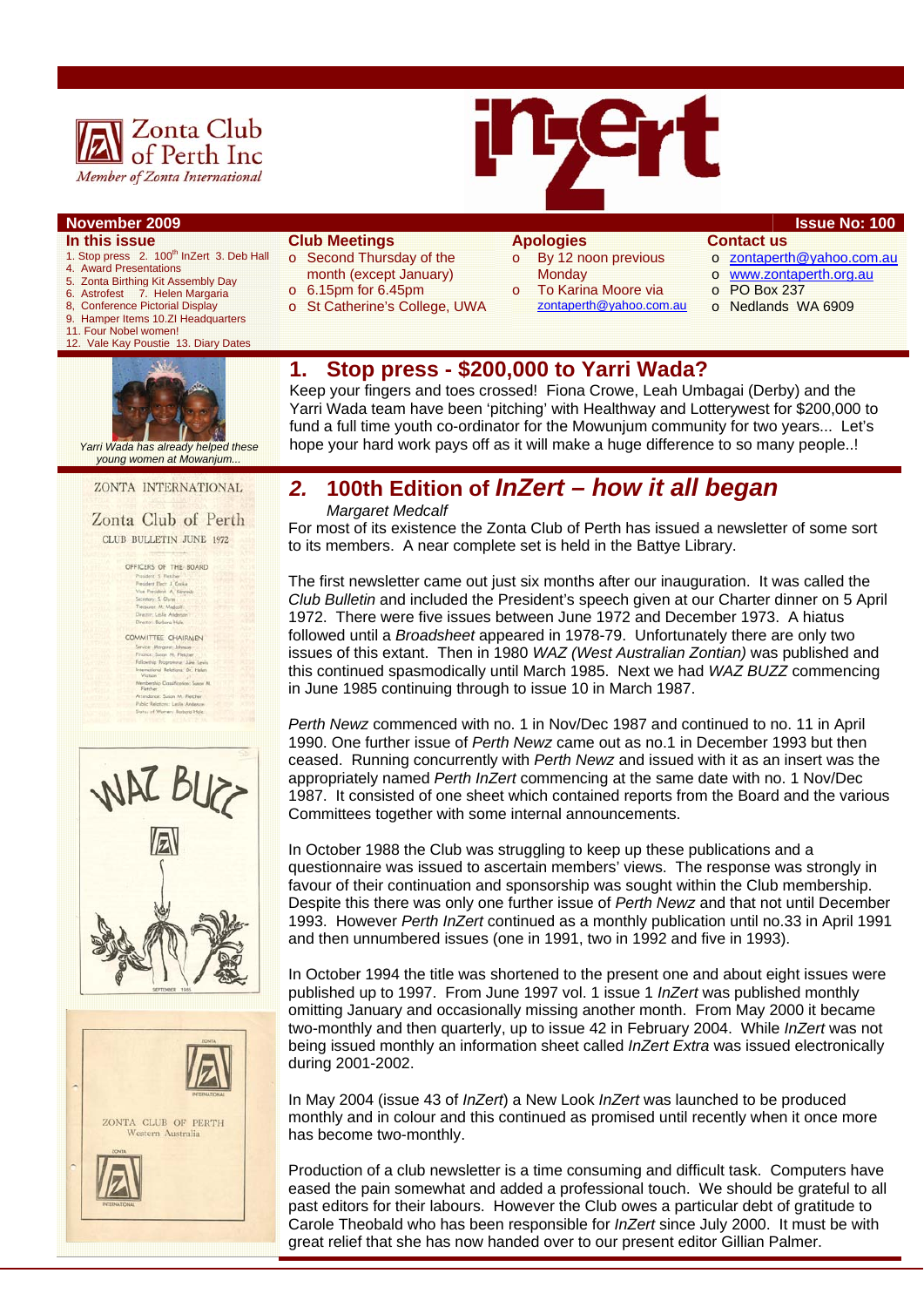



#### **In this issue**

- 1. Stop press 2. 100<sup>th</sup> InZert 3. Deb Hall
- 4. Award Presentations 5. Zonta Birthing Kit Assembly Day
- 6. Astrofest 7. Helen Margaria<br>8. Conference Pictorial Display
- **Conference Pictorial Display**
- 9. Hamper Items 10.ZI Headquarters
- 11. Four Nobel women!
- 12. Vale Kay Poustie 13. Diary Dates



 *Yarri Wada has already helped these young women at Mowanjum...* 

ZONTA INTERNATIONAL

Zonta Club of Perth CLUB BULLETIN JUNE 1972

> OFFICERS OF THE BOARD Proudent S. Fletcher<br>President Dact J. Cooke<br>Vice President A. Kennedy<br>Secretary: S. Olivin<br>Trequent M. Medoul<br>Deester: Earlier Anderson<br>Deester: Earlier Anderson<br>Deester: Earlier Anderson

COMMITTEE CHAIRMEN Verwert FEE CHAIROGEN<br>Friesen: Saran M. Patater<br>Friesen: Saran M. Patater<br>Friesening Programme, New Lewis<br>International Relations: Dr. Halen<br>Watson stion<br>Herefup Classification: Susan M<br>dence: Susan M. Fletcher<br>: Relations: Leslie Anderson





#### **Club Meetings**

- o Second Thursday of the month (except January)
- o 6.15pm for 6.45pm
- o St Catherine's College, UWA
- **Apologies**  o By 12 noon previous
- **Monday** 
	- To Karina Moore via zontaperth@yahoo.com.au
- **Contact us**
- o zontaperth@yahoo.com.au
	- o www.zontaperth.org.au
- o PO Box 237
- o Nedlands WA 6909

# **1. Stop press - \$200,000 to Yarri Wada?**

Keep your fingers and toes crossed! Fiona Crowe, Leah Umbagai (Derby) and the Yarri Wada team have been 'pitching' with Healthway and Lotterywest for \$200,000 to fund a full time youth co-ordinator for the Mowunjum community for two years... Let's hope your hard work pays off as it will make a huge difference to so many people..!

# *2.* **100th Edition of** *InZert – how it all began*

*Margaret Medcalf* 

For most of its existence the Zonta Club of Perth has issued a newsletter of some sort to its members. A near complete set is held in the Battye Library.

The first newsletter came out just six months after our inauguration. It was called the *Club Bulletin* and included the President's speech given at our Charter dinner on 5 April 1972. There were five issues between June 1972 and December 1973. A hiatus followed until a *Broadsheet* appeared in 1978-79. Unfortunately there are only two issues of this extant. Then in 1980 *WAZ (West Australian Zontian)* was published and this continued spasmodically until March 1985. Next we had *WAZ BUZZ* commencing in June 1985 continuing through to issue 10 in March 1987.

*Perth Newz* commenced with no. 1 in Nov/Dec 1987 and continued to no. 11 in April 1990. One further issue of *Perth Newz* came out as no.1 in December 1993 but then ceased. Running concurrently with *Perth Newz* and issued with it as an insert was the appropriately named *Perth InZert* commencing at the same date with no. 1 Nov/Dec 1987. It consisted of one sheet which contained reports from the Board and the various Committees together with some internal announcements.

In October 1988 the Club was struggling to keep up these publications and a questionnaire was issued to ascertain members' views. The response was strongly in favour of their continuation and sponsorship was sought within the Club membership. Despite this there was only one further issue of *Perth Newz* and that not until December 1993. However *Perth InZert* continued as a monthly publication until no.33 in April 1991 and then unnumbered issues (one in 1991, two in 1992 and five in 1993).

In October 1994 the title was shortened to the present one and about eight issues were published up to 1997. From June 1997 vol. 1 issue 1 *InZert* was published monthly omitting January and occasionally missing another month. From May 2000 it became two-monthly and then quarterly, up to issue 42 in February 2004. While *InZert* was not being issued monthly an information sheet called *InZert Extra* was issued electronically during 2001-2002.

In May 2004 (issue 43 of *InZert*) a New Look *InZert* was launched to be produced monthly and in colour and this continued as promised until recently when it once more has become two-monthly.

Production of a club newsletter is a time consuming and difficult task. Computers have eased the pain somewhat and added a professional touch. We should be grateful to all past editors for their labours. However the Club owes a particular debt of gratitude to Carole Theobald who has been responsible for *InZert* since July 2000. It must be with great relief that she has now handed over to our present editor Gillian Palmer.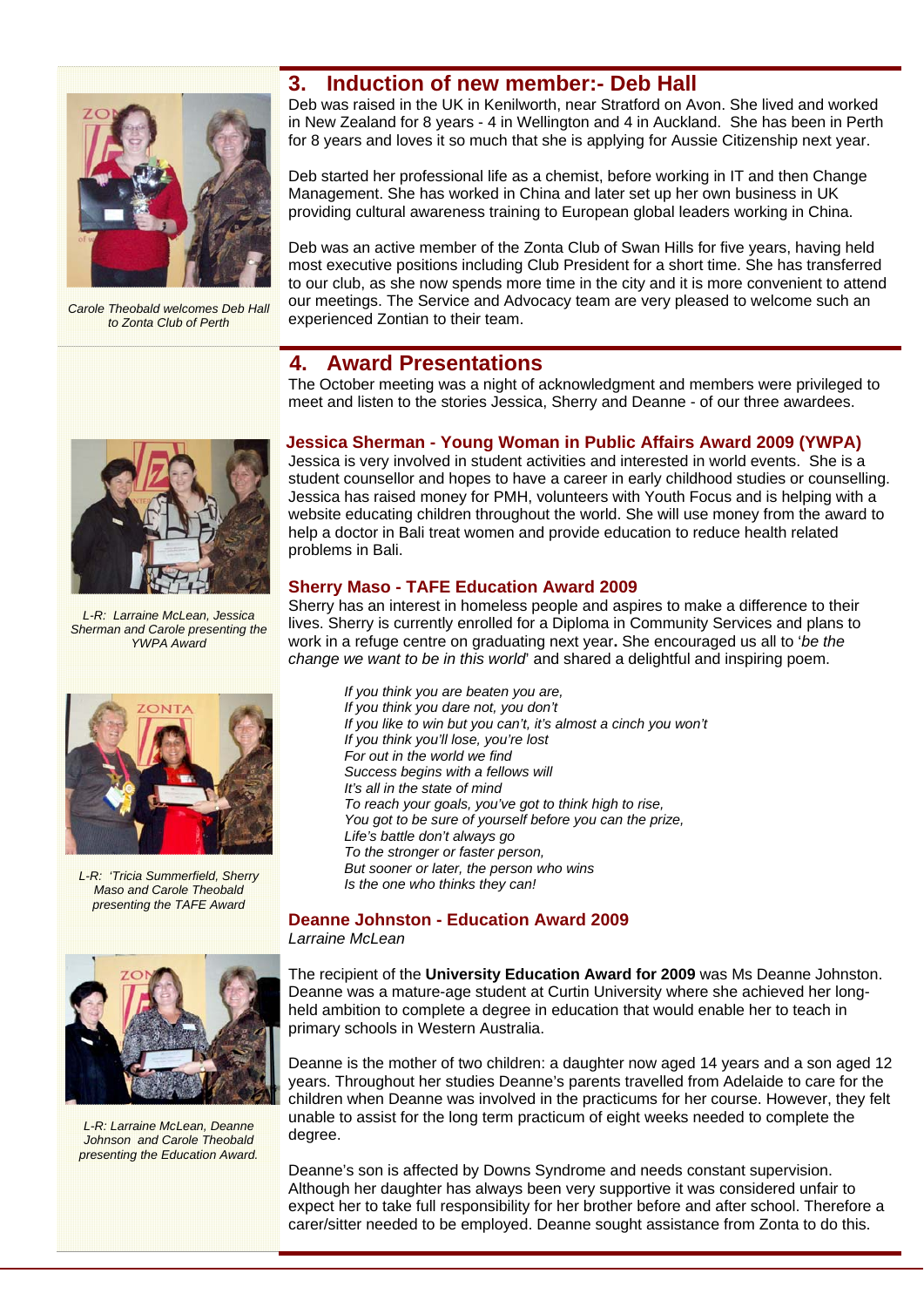

*Carole Theobald welcomes Deb Hall to Zonta Club of Perth* 

# **3. Induction of new member:- Deb Hall**

Deb was raised in the UK in Kenilworth, near Stratford on Avon. She lived and worked in New Zealand for 8 years - 4 in Wellington and 4 in Auckland. She has been in Perth for 8 years and loves it so much that she is applying for Aussie Citizenship next year.

Deb started her professional life as a chemist, before working in IT and then Change Management. She has worked in China and later set up her own business in UK providing cultural awareness training to European global leaders working in China.

Deb was an active member of the Zonta Club of Swan Hills for five years, having held most executive positions including Club President for a short time. She has transferred to our club, as she now spends more time in the city and it is more convenient to attend our meetings. The Service and Advocacy team are very pleased to welcome such an experienced Zontian to their team.

# **4. Award Presentations**

The October meeting was a night of acknowledgment and members were privileged to meet and listen to the stories Jessica, Sherry and Deanne - of our three awardees.

## **Jessica Sherman - Young Woman in Public Affairs Award 2009 (YWPA)**

Jessica is very involved in student activities and interested in world events. She is a student counsellor and hopes to have a career in early childhood studies or counselling. Jessica has raised money for PMH, volunteers with Youth Focus and is helping with a website educating children throughout the world. She will use money from the award to help a doctor in Bali treat women and provide education to reduce health related problems in Bali.

## **Sherry Maso - TAFE Education Award 2009**

Sherry has an interest in homeless people and aspires to make a difference to their lives. Sherry is currently enrolled for a Diploma in Community Services and plans to work in a refuge centre on graduating next year**.** She encouraged us all to '*be the change we want to be in this world*' and shared a delightful and inspiring poem.

*If you think you are beaten you are, If you think you dare not, you don't If you like to win but you can't, it's almost a cinch you won't If you think you'll lose, you're lost For out in the world we find Success begins with a fellows will It's all in the state of mind To reach your goals, you've got to think high to rise, You got to be sure of yourself before you can the prize, Life's battle don't always go To the stronger or faster person, But sooner or later, the person who wins Is the one who thinks they can!* 

## **Deanne Johnston - Education Award 2009**  *Larraine McLean*

The recipient of the **University Education Award for 2009** was Ms Deanne Johnston. Deanne was a mature-age student at Curtin University where she achieved her longheld ambition to complete a degree in education that would enable her to teach in primary schools in Western Australia.

Deanne is the mother of two children: a daughter now aged 14 years and a son aged 12 years. Throughout her studies Deanne's parents travelled from Adelaide to care for the children when Deanne was involved in the practicums for her course. However, they felt unable to assist for the long term practicum of eight weeks needed to complete the degree.

Deanne's son is affected by Downs Syndrome and needs constant supervision. Although her daughter has always been very supportive it was considered unfair to expect her to take full responsibility for her brother before and after school. Therefore a carer/sitter needed to be employed. Deanne sought assistance from Zonta to do this.



*L-R: Larraine McLean, Jessica Sherman and Carole presenting the YWPA Award* 



*L-R: 'Tricia Summerfield, Sherry Maso and Carole Theobald presenting the TAFE Award* 



*L-R: Larraine McLean, Deanne Johnson and Carole Theobald presenting the Education Award.*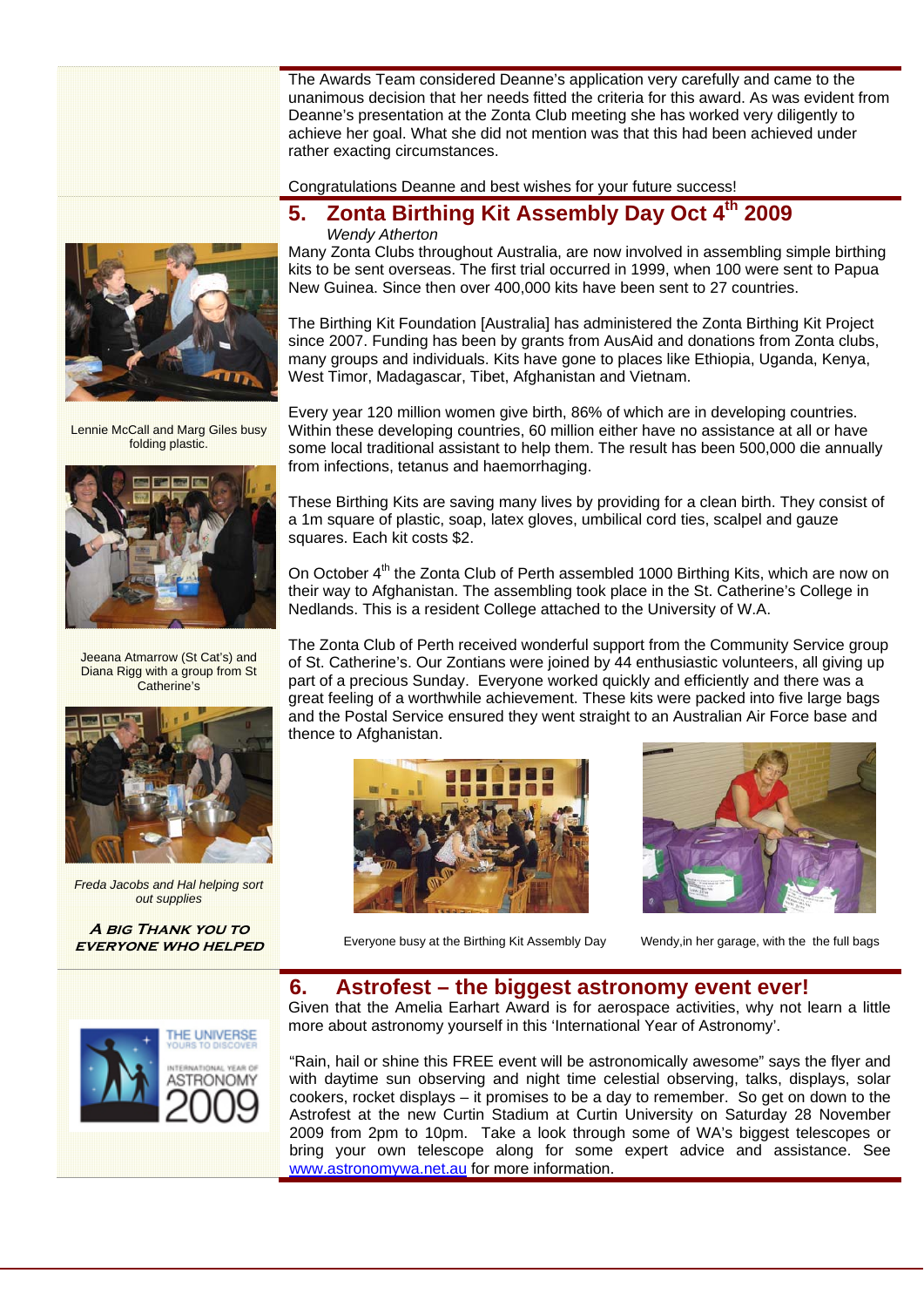The Awards Team considered Deanne's application very carefully and came to the unanimous decision that her needs fitted the criteria for this award. As was evident from Deanne's presentation at the Zonta Club meeting she has worked very diligently to achieve her goal. What she did not mention was that this had been achieved under rather exacting circumstances.

Congratulations Deanne and best wishes for your future success!

## **5. Zonta Birthing Kit Assembly Day Oct 4th 2009**  *Wendy Atherton*

Many Zonta Clubs throughout Australia, are now involved in assembling simple birthing kits to be sent overseas. The first trial occurred in 1999, when 100 were sent to Papua New Guinea. Since then over 400,000 kits have been sent to 27 countries.

The Birthing Kit Foundation [Australia] has administered the Zonta Birthing Kit Project since 2007. Funding has been by grants from AusAid and donations from Zonta clubs, many groups and individuals. Kits have gone to places like Ethiopia, Uganda, Kenya, West Timor, Madagascar, Tibet, Afghanistan and Vietnam.

Every year 120 million women give birth, 86% of which are in developing countries. Within these developing countries, 60 million either have no assistance at all or have some local traditional assistant to help them. The result has been 500,000 die annually from infections, tetanus and haemorrhaging.

These Birthing Kits are saving many lives by providing for a clean birth. They consist of a 1m square of plastic, soap, latex gloves, umbilical cord ties, scalpel and gauze squares. Each kit costs \$2.

On October 4<sup>th</sup> the Zonta Club of Perth assembled 1000 Birthing Kits, which are now on their way to Afghanistan. The assembling took place in the St. Catherine's College in Nedlands. This is a resident College attached to the University of W.A.

The Zonta Club of Perth received wonderful support from the Community Service group of St. Catherine's. Our Zontians were joined by 44 enthusiastic volunteers, all giving up part of a precious Sunday. Everyone worked quickly and efficiently and there was a great feeling of a worthwhile achievement. These kits were packed into five large bags and the Postal Service ensured they went straight to an Australian Air Force base and thence to Afghanistan.



Everyone busy at the Birthing Kit Assembly Day Wendy,in her garage, with the the full bags

# **6. Astrofest – the biggest astronomy event ever!**

Given that the Amelia Earhart Award is for aerospace activities, why not learn a little more about astronomy yourself in this 'International Year of Astronomy'.

"Rain, hail or shine this FREE event will be astronomically awesome" says the flyer and with daytime sun observing and night time celestial observing, talks, displays, solar cookers, rocket displays – it promises to be a day to remember. So get on down to the Astrofest at the new Curtin Stadium at Curtin University on Saturday 28 November 2009 from 2pm to 10pm. Take a look through some of WA's biggest telescopes or bring your own telescope along for some expert advice and assistance. See www.astronomywa.net.au for more information.



Lennie McCall and Marg Giles busy folding plastic.



Jeeana Atmarrow (St Cat's) and Diana Rigg with a group from St Catherine's



*Freda Jacobs and Hal helping sort out supplies* 

**A big Thank you to everyone who helped** 

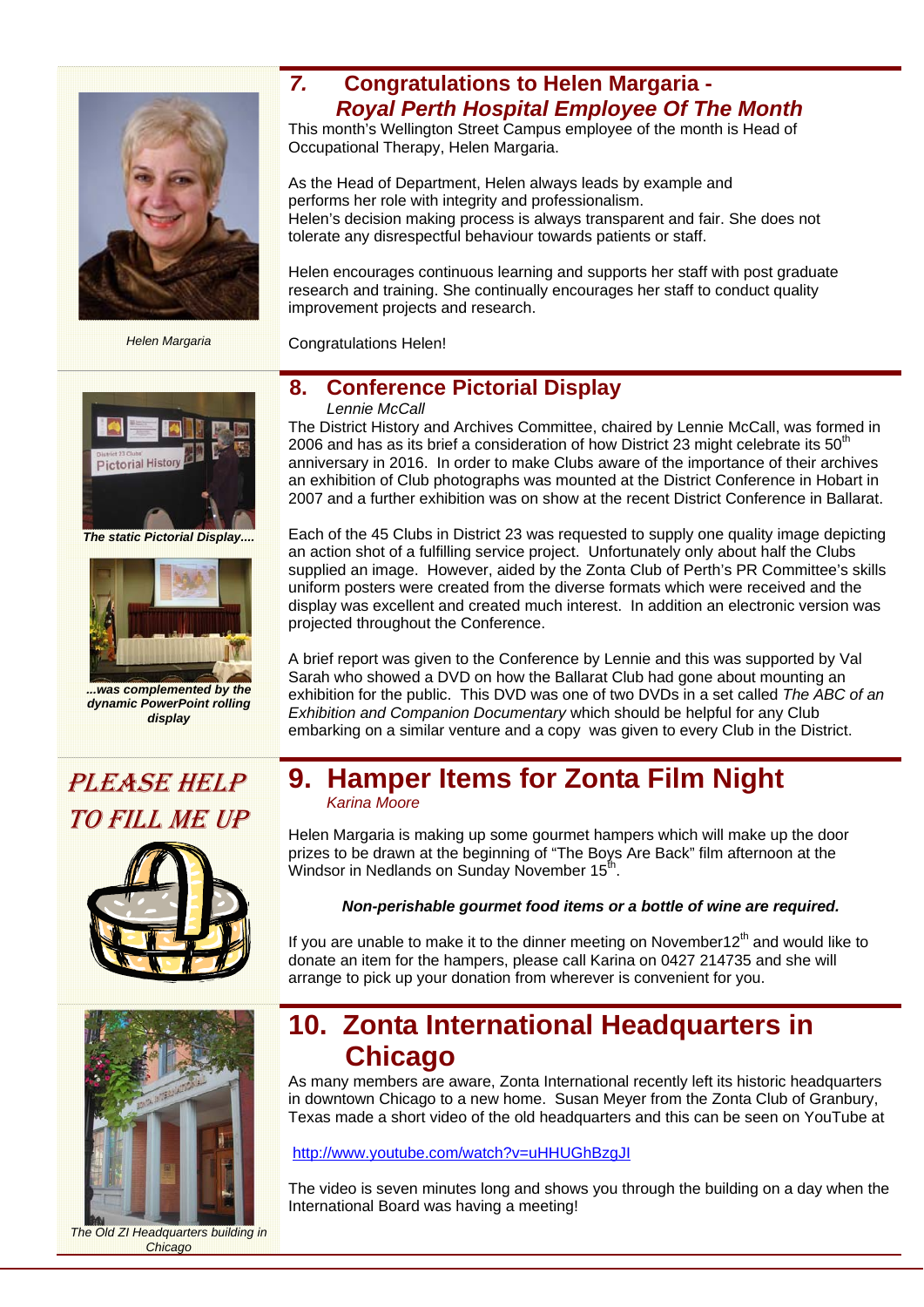

*Helen Margaria* 

# *7.* **Congratulations to Helen Margaria -** *Royal Perth Hospital Employee Of The Month*

This month's Wellington Street Campus employee of the month is Head of Occupational Therapy, Helen Margaria.

As the Head of Department, Helen always leads by example and performs her role with integrity and professionalism. Helen's decision making process is always transparent and fair. She does not tolerate any disrespectful behaviour towards patients or staff.

Helen encourages continuous learning and supports her staff with post graduate research and training. She continually encourages her staff to conduct quality improvement projects and research.

Congratulations Helen!

# Pictorial Histo

*The static Pictorial Display....* 



*...was complemented by the dynamic PowerPoint rolling display* 

# **8. Conference Pictorial Display**

#### *Lennie McCall*

The District History and Archives Committee, chaired by Lennie McCall, was formed in 2006 and has as its brief a consideration of how District 23 might celebrate its  $50<sup>th</sup>$ anniversary in 2016. In order to make Clubs aware of the importance of their archives an exhibition of Club photographs was mounted at the District Conference in Hobart in 2007 and a further exhibition was on show at the recent District Conference in Ballarat.

Each of the 45 Clubs in District 23 was requested to supply one quality image depicting an action shot of a fulfilling service project. Unfortunately only about half the Clubs supplied an image. However, aided by the Zonta Club of Perth's PR Committee's skills uniform posters were created from the diverse formats which were received and the display was excellent and created much interest. In addition an electronic version was projected throughout the Conference.

A brief report was given to the Conference by Lennie and this was supported by Val Sarah who showed a DVD on how the Ballarat Club had gone about mounting an exhibition for the public. This DVD was one of two DVDs in a set called *The ABC of an Exhibition and Companion Documentary* which should be helpful for any Club embarking on a similar venture and a copy was given to every Club in the District.

# PLEASE HELP TO FILL ME UP





**9. Hamper Items for Zonta Film Night** *Karina Moore* 

Helen Margaria is making up some gourmet hampers which will make up the door prizes to be drawn at the beginning of "The Boys Are Back" film afternoon at the Windsor in Nedlands on Sunday November 15<sup>th</sup>.

## *Non-perishable gourmet food items or a bottle of wine are required.*

If you are unable to make it to the dinner meeting on November12<sup>th</sup> and would like to donate an item for the hampers, please call Karina on 0427 214735 and she will arrange to pick up your donation from wherever is convenient for you.

# **10. Zonta International Headquarters in Chicago**

As many members are aware, Zonta International recently left its historic headquarters in downtown Chicago to a new home. Susan Meyer from the Zonta Club of Granbury, Texas made a short video of the old headquarters and this can be seen on YouTube at

#### http://www.youtube.com/watch?v=uHHUGhBzgJI

The video is seven minutes long and shows you through the building on a day when the International Board was having a meeting!

*The Old ZI Headquarters building in Chicago*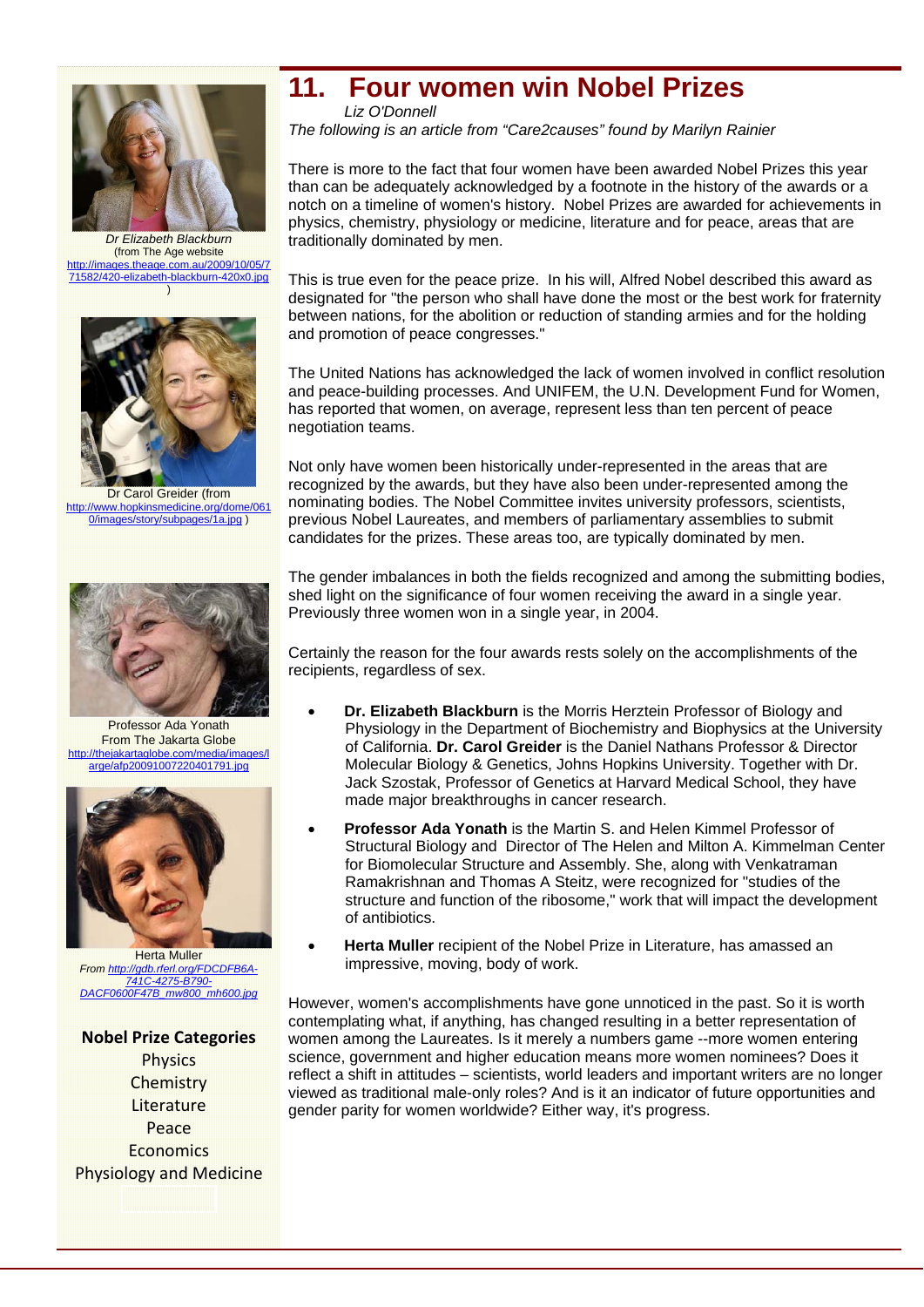

*Dr Elizabeth Blackburn*  (from The Age website http://images.theage.com.au/2009/10/05/7 71582/420-elizabeth-blackburn-420x0.jpg )



Dr Carol Greider (from http://www.hopkinsmedicine.org/dome/061 0/images/story/subpages/1a.jpg )



Professor Ada Yonath From The Jakarta Globe /thejakartaglobe.com/media/image arge/afp20091007220401791.jpg



Herta Muller *From http://gdb.rferl.org/FDCDFB6A-741C-4275-B790- DACF0600F47B\_mw800\_mh600.jpg* 

#### **Nobel Prize Categories**

**Physics Chemistry Literature** Peace **Economics** Physiology and Medicine

# **11. Four women win Nobel Prizes**

*Liz O'Donnell The following is an article from "Care2causes" found by Marilyn Rainier* 

There is more to the fact that four women have been awarded Nobel Prizes this year than can be adequately acknowledged by a footnote in the history of the awards or a notch on a timeline of women's history. Nobel Prizes are awarded for achievements in physics, chemistry, physiology or medicine, literature and for peace, areas that are traditionally dominated by men.

This is true even for the peace prize. In his will, Alfred Nobel described this award as designated for "the person who shall have done the most or the best work for fraternity between nations, for the abolition or reduction of standing armies and for the holding and promotion of peace congresses."

The United Nations has acknowledged the lack of women involved in conflict resolution and peace-building processes. And UNIFEM, the U.N. Development Fund for Women, has reported that women, on average, represent less than ten percent of peace negotiation teams.

Not only have women been historically under-represented in the areas that are recognized by the awards, but they have also been under-represented among the nominating bodies. The Nobel Committee invites university professors, scientists, previous Nobel Laureates, and members of parliamentary assemblies to submit candidates for the prizes. These areas too, are typically dominated by men.

The gender imbalances in both the fields recognized and among the submitting bodies, shed light on the significance of four women receiving the award in a single year. Previously three women won in a single year, in 2004.

Certainly the reason for the four awards rests solely on the accomplishments of the recipients, regardless of sex.

- **Dr. Elizabeth Blackburn** is the Morris Herztein Professor of Biology and Physiology in the Department of Biochemistry and Biophysics at the University of California. **Dr. Carol Greider** is the Daniel Nathans Professor & Director Molecular Biology & Genetics, Johns Hopkins University. Together with Dr. Jack Szostak, Professor of Genetics at Harvard Medical School, they have made major breakthroughs in cancer research.
- **Professor Ada Yonath** is the Martin S. and Helen Kimmel Professor of Structural Biology and Director of The Helen and Milton A. Kimmelman Center for Biomolecular Structure and Assembly. She, along with Venkatraman Ramakrishnan and Thomas A Steitz, were recognized for "studies of the structure and function of the ribosome," work that will impact the development of antibiotics.
- **Herta Muller** recipient of the Nobel Prize in Literature, has amassed an impressive, moving, body of work.

However, women's accomplishments have gone unnoticed in the past. So it is worth contemplating what, if anything, has changed resulting in a better representation of women among the Laureates. Is it merely a numbers game --more women entering science, government and higher education means more women nominees? Does it reflect a shift in attitudes – scientists, world leaders and important writers are no longer viewed as traditional male-only roles? And is it an indicator of future opportunities and gender parity for women worldwide? Either way, it's progress.